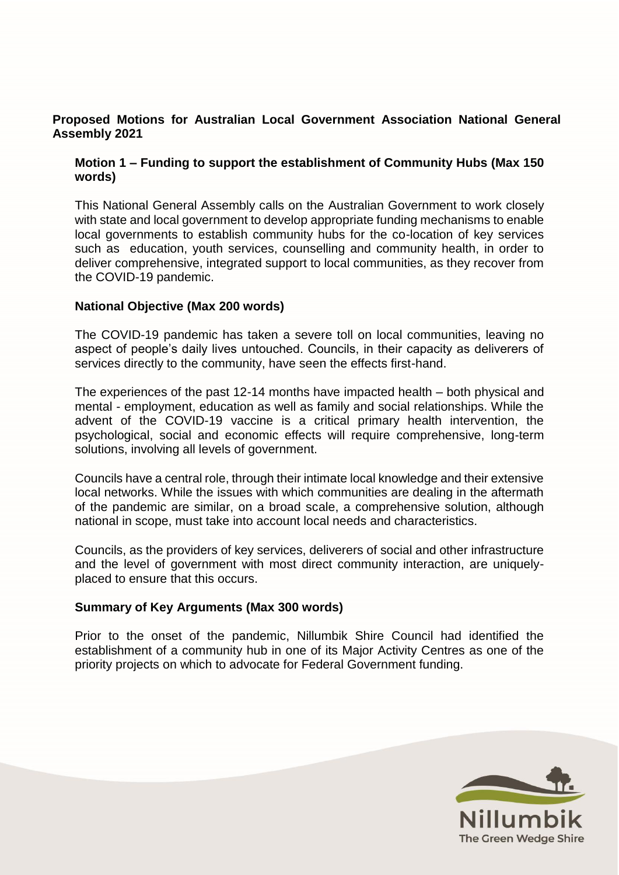## **Proposed Motions for Australian Local Government Association National General Assembly 2021**

# **Motion 1 – Funding to support the establishment of Community Hubs (Max 150 words)**

This National General Assembly calls on the Australian Government to work closely with state and local government to develop appropriate funding mechanisms to enable local governments to establish community hubs for the co-location of key services such as education, youth services, counselling and community health, in order to deliver comprehensive, integrated support to local communities, as they recover from the COVID-19 pandemic.

## **National Objective (Max 200 words)**

The COVID-19 pandemic has taken a severe toll on local communities, leaving no aspect of people's daily lives untouched. Councils, in their capacity as deliverers of services directly to the community, have seen the effects first-hand.

The experiences of the past 12-14 months have impacted health – both physical and mental - employment, education as well as family and social relationships. While the advent of the COVID-19 vaccine is a critical primary health intervention, the psychological, social and economic effects will require comprehensive, long-term solutions, involving all levels of government.

Councils have a central role, through their intimate local knowledge and their extensive local networks. While the issues with which communities are dealing in the aftermath of the pandemic are similar, on a broad scale, a comprehensive solution, although national in scope, must take into account local needs and characteristics.

Councils, as the providers of key services, deliverers of social and other infrastructure and the level of government with most direct community interaction, are uniquelyplaced to ensure that this occurs.

## **Summary of Key Arguments (Max 300 words)**

Prior to the onset of the pandemic, Nillumbik Shire Council had identified the establishment of a community hub in one of its Major Activity Centres as one of the priority projects on which to advocate for Federal Government funding.

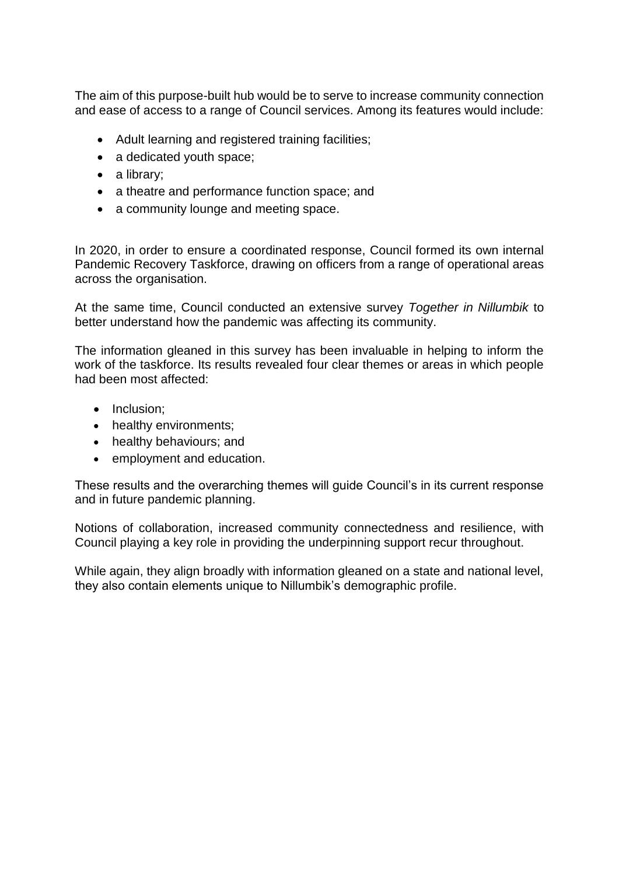The aim of this purpose-built hub would be to serve to increase community connection and ease of access to a range of Council services. Among its features would include:

- Adult learning and registered training facilities;
- a dedicated youth space;
- a library;
- a theatre and performance function space; and
- a community lounge and meeting space.

In 2020, in order to ensure a coordinated response, Council formed its own internal Pandemic Recovery Taskforce, drawing on officers from a range of operational areas across the organisation.

At the same time, Council conducted an extensive survey *Together in Nillumbik* to better understand how the pandemic was affecting its community.

The information gleaned in this survey has been invaluable in helping to inform the work of the taskforce. Its results revealed four clear themes or areas in which people had been most affected:

- Inclusion;
- healthy environments;
- healthy behaviours; and
- employment and education.

These results and the overarching themes will guide Council's in its current response and in future pandemic planning.

Notions of collaboration, increased community connectedness and resilience, with Council playing a key role in providing the underpinning support recur throughout.

While again, they align broadly with information gleaned on a state and national level, they also contain elements unique to Nillumbik's demographic profile.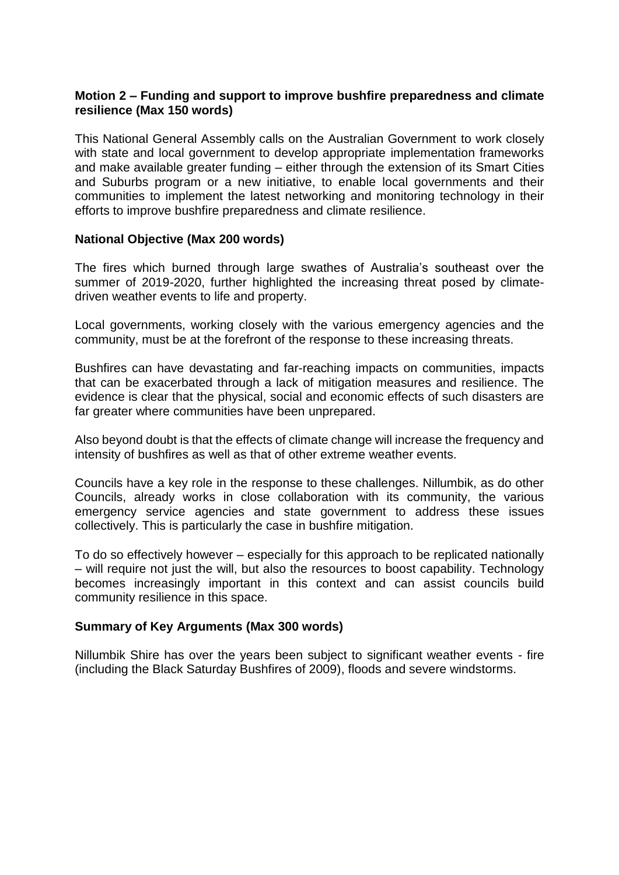## **Motion 2 – Funding and support to improve bushfire preparedness and climate resilience (Max 150 words)**

This National General Assembly calls on the Australian Government to work closely with state and local government to develop appropriate implementation frameworks and make available greater funding – either through the extension of its Smart Cities and Suburbs program or a new initiative, to enable local governments and their communities to implement the latest networking and monitoring technology in their efforts to improve bushfire preparedness and climate resilience.

#### **National Objective (Max 200 words)**

The fires which burned through large swathes of Australia's southeast over the summer of 2019-2020, further highlighted the increasing threat posed by climatedriven weather events to life and property.

Local governments, working closely with the various emergency agencies and the community, must be at the forefront of the response to these increasing threats.

Bushfires can have devastating and far-reaching impacts on communities, impacts that can be exacerbated through a lack of mitigation measures and resilience. The evidence is clear that the physical, social and economic effects of such disasters are far greater where communities have been unprepared.

Also beyond doubt is that the effects of climate change will increase the frequency and intensity of bushfires as well as that of other extreme weather events.

Councils have a key role in the response to these challenges. Nillumbik, as do other Councils, already works in close collaboration with its community, the various emergency service agencies and state government to address these issues collectively. This is particularly the case in bushfire mitigation.

To do so effectively however – especially for this approach to be replicated nationally – will require not just the will, but also the resources to boost capability. Technology becomes increasingly important in this context and can assist councils build community resilience in this space.

## **Summary of Key Arguments (Max 300 words)**

Nillumbik Shire has over the years been subject to significant weather events - fire (including the Black Saturday Bushfires of 2009), floods and severe windstorms.